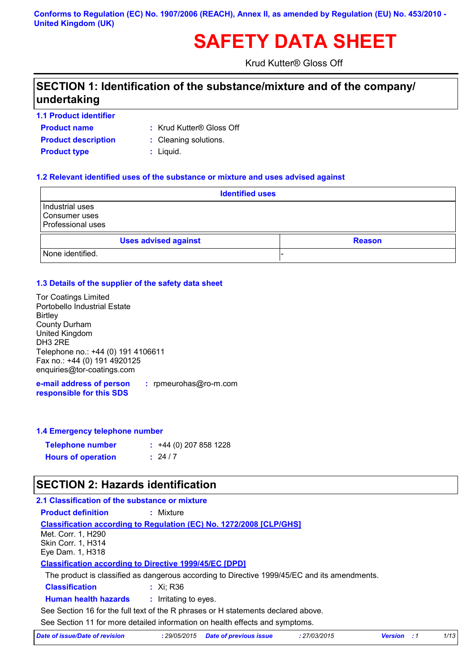#### **Conforms to Regulation (EC) No. 1907/2006 (REACH), Annex II, as amended by Regulation (EU) No. 453/2010 - United Kingdom (UK)**

# **SAFETY DATA SHEET**

Krud Kutter® Gloss Off

### **SECTION 1: Identification of the substance/mixture and of the company/ undertaking**

#### **1.1 Product identifier**

- **Product name**
- : Krud Kutter® Gloss Off
- **Product type**  $\qquad$ **: Liquid. Product description** : Cleaning solutions.
	-
	-

#### **1.2 Relevant identified uses of the substance or mixture and uses advised against**

| <b>Identified uses</b>                                       |               |  |
|--------------------------------------------------------------|---------------|--|
| Industrial uses<br>Consumer uses<br><b>Professional uses</b> |               |  |
| <b>Uses advised against</b>                                  | <b>Reason</b> |  |
| None identified.                                             |               |  |

#### **1.3 Details of the supplier of the safety data sheet**

| <b>Tor Coatings Limited</b>        |
|------------------------------------|
| Portobello Industrial Estate       |
| <b>Birtley</b>                     |
| County Durham                      |
| United Kingdom                     |
| DH3 2RE                            |
| Telephone no.: +44 (0) 191 4106611 |
| Fax no.: +44 (0) 191 4920125       |
| enquiries@tor-coatings.com         |
|                                    |

**e-mail address of person responsible for this SDS :** rpmeurohas@ro-m.com

#### **1.4 Emergency telephone number**

| <b>Telephone number</b>   | $: +44(0)$ 207 858 1228 |
|---------------------------|-------------------------|
| <b>Hours of operation</b> | : 24/7                  |

### **SECTION 2: Hazards identification**

**2.1 Classification of the substance or mixture**

### **Classification :** Xi; R36 **Human health hazards :** Irritating to eyes. **Classification according to Regulation (EC) No. 1272/2008 [CLP/GHS] Product definition :** Mixture **Classification according to Directive 1999/45/EC [DPD]** The product is classified as dangerous according to Directive 1999/45/EC and its amendments. Met. Corr. 1, H290 Skin Corr. 1, H314 Eye Dam. 1, H318

See Section 16 for the full text of the R phrases or H statements declared above.

See Section 11 for more detailed information on health effects and symptoms.

| Date of issue/Date of revision | : 29/05/2015 Date of previous issue | 27/03/2015 | <b>Version</b> : 1 |  |
|--------------------------------|-------------------------------------|------------|--------------------|--|
|--------------------------------|-------------------------------------|------------|--------------------|--|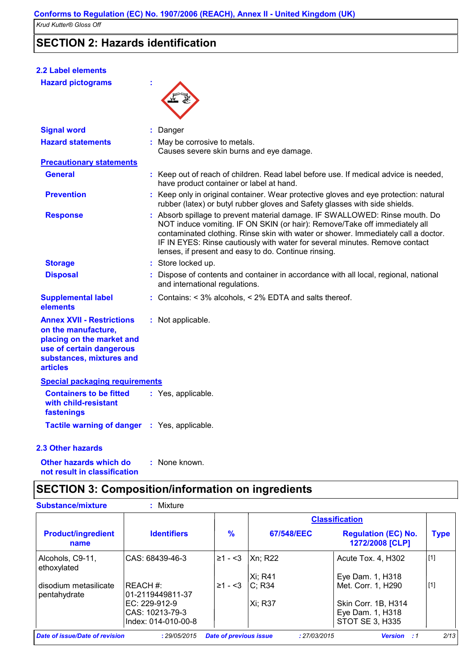### **SECTION 2: Hazards identification**

| <b>2.2 Label elements</b>                                                                                                                                       |                                                                                                                                                                                                                                                                                                                                                                                        |
|-----------------------------------------------------------------------------------------------------------------------------------------------------------------|----------------------------------------------------------------------------------------------------------------------------------------------------------------------------------------------------------------------------------------------------------------------------------------------------------------------------------------------------------------------------------------|
| <b>Hazard pictograms</b>                                                                                                                                        |                                                                                                                                                                                                                                                                                                                                                                                        |
| <b>Signal word</b>                                                                                                                                              | : Danger                                                                                                                                                                                                                                                                                                                                                                               |
| <b>Hazard statements</b>                                                                                                                                        | : May be corrosive to metals.<br>Causes severe skin burns and eye damage.                                                                                                                                                                                                                                                                                                              |
| <b>Precautionary statements</b>                                                                                                                                 |                                                                                                                                                                                                                                                                                                                                                                                        |
| <b>General</b>                                                                                                                                                  | : Keep out of reach of children. Read label before use. If medical advice is needed,<br>have product container or label at hand.                                                                                                                                                                                                                                                       |
| <b>Prevention</b>                                                                                                                                               | : Keep only in original container. Wear protective gloves and eye protection: natural<br>rubber (latex) or butyl rubber gloves and Safety glasses with side shields.                                                                                                                                                                                                                   |
| <b>Response</b>                                                                                                                                                 | : Absorb spillage to prevent material damage. IF SWALLOWED: Rinse mouth. Do<br>NOT induce vomiting. IF ON SKIN (or hair): Remove/Take off immediately all<br>contaminated clothing. Rinse skin with water or shower. Immediately call a doctor.<br>IF IN EYES: Rinse cautiously with water for several minutes. Remove contact<br>lenses, if present and easy to do. Continue rinsing. |
| <b>Storage</b>                                                                                                                                                  | : Store locked up.                                                                                                                                                                                                                                                                                                                                                                     |
| <b>Disposal</b>                                                                                                                                                 | : Dispose of contents and container in accordance with all local, regional, national<br>and international regulations.                                                                                                                                                                                                                                                                 |
| <b>Supplemental label</b><br>elements                                                                                                                           | : Contains: < 3% alcohols, < 2% EDTA and salts thereof.                                                                                                                                                                                                                                                                                                                                |
| <b>Annex XVII - Restrictions</b><br>on the manufacture,<br>placing on the market and<br>use of certain dangerous<br>substances, mixtures and<br><b>articles</b> | : Not applicable.                                                                                                                                                                                                                                                                                                                                                                      |
| <b>Special packaging requirements</b>                                                                                                                           |                                                                                                                                                                                                                                                                                                                                                                                        |
| <b>Containers to be fitted</b><br>with child-resistant<br>fastenings                                                                                            | : Yes, applicable.                                                                                                                                                                                                                                                                                                                                                                     |
| Tactile warning of danger : Yes, applicable.                                                                                                                    |                                                                                                                                                                                                                                                                                                                                                                                        |
| <b>2.3 Other hazards</b>                                                                                                                                        |                                                                                                                                                                                                                                                                                                                                                                                        |
| the contract of the contract of the contract of the contract of the contract of the contract of the contract of                                                 |                                                                                                                                                                                                                                                                                                                                                                                        |

**Other hazards which do : not result in classification** : None known.

## **SECTION 3: Composition/information on ingredients**

| <b>Substance/mixture</b>              | Mixture<br>t.                  |                               |              |                                               |             |
|---------------------------------------|--------------------------------|-------------------------------|--------------|-----------------------------------------------|-------------|
|                                       |                                |                               |              | <b>Classification</b>                         |             |
| <b>Product/ingredient</b><br>name     | <b>Identifiers</b>             | $\%$                          | 67/548/EEC   | <b>Regulation (EC) No.</b><br>1272/2008 [CLP] | <b>Type</b> |
| Alcohols, C9-11,<br>ethoxylated       | ICAS: 68439-46-3               | $\geq 1 - 3$                  | Xn: R22      | Acute Tox. 4, H302                            | $[1]$       |
|                                       |                                |                               | Xi; R41      | Eye Dam. 1, H318                              |             |
| disodium metasilicate<br>pentahydrate | IREACH #:<br>101-2119449811-37 | $\geq 1 - 3$                  | C: R34       | Met. Corr. 1, H290                            | $[1]$       |
|                                       | IEC: 229-912-9                 |                               | Xi: R37      | Skin Corr. 1B, H314                           |             |
|                                       | CAS: 10213-79-3                |                               |              | Eye Dam. 1, H318                              |             |
|                                       | lIndex: 014-010-00-8           |                               |              | <b>STOT SE 3, H335</b>                        |             |
| Date of issue/Date of revision        | : 29/05/2015                   | <b>Date of previous issue</b> | : 27/03/2015 | <b>Version</b><br>:1                          | 2/13        |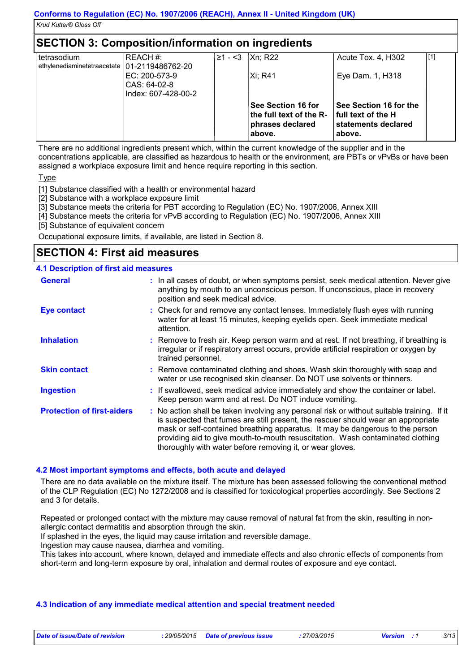### **SECTION 3: Composition/information on ingredients**

| tetrasodium                                    | REACH #:                                              | ≥1 - <3 | Xn; R22                                                                            | Acute Tox. 4, H302                                                            | [1] |
|------------------------------------------------|-------------------------------------------------------|---------|------------------------------------------------------------------------------------|-------------------------------------------------------------------------------|-----|
| ethylenediaminetetraacetate   01-2119486762-20 | IEC: 200-573-9<br>CAS: 64-02-8<br>Index: 607-428-00-2 |         | Xi: R41                                                                            | Eye Dam. 1, H318                                                              |     |
|                                                |                                                       |         | <b>See Section 16 for</b><br>the full text of the R-<br>phrases declared<br>above. | See Section 16 for the<br>full text of the H<br>statements declared<br>above. |     |

There are no additional ingredients present which, within the current knowledge of the supplier and in the concentrations applicable, are classified as hazardous to health or the environment, are PBTs or vPvBs or have been assigned a workplace exposure limit and hence require reporting in this section.

Type

[1] Substance classified with a health or environmental hazard

[2] Substance with a workplace exposure limit

[3] Substance meets the criteria for PBT according to Regulation (EC) No. 1907/2006, Annex XIII

[4] Substance meets the criteria for vPvB according to Regulation (EC) No. 1907/2006, Annex XIII

[5] Substance of equivalent concern

Occupational exposure limits, if available, are listed in Section 8.

### **SECTION 4: First aid measures**

#### **4.1 Description of first aid measures**

| <b>General</b>                    | : In all cases of doubt, or when symptoms persist, seek medical attention. Never give<br>anything by mouth to an unconscious person. If unconscious, place in recovery<br>position and seek medical advice.                                                                                                                                                                                                     |
|-----------------------------------|-----------------------------------------------------------------------------------------------------------------------------------------------------------------------------------------------------------------------------------------------------------------------------------------------------------------------------------------------------------------------------------------------------------------|
| <b>Eye contact</b>                | : Check for and remove any contact lenses. Immediately flush eyes with running<br>water for at least 15 minutes, keeping eyelids open. Seek immediate medical<br>attention.                                                                                                                                                                                                                                     |
| <b>Inhalation</b>                 | : Remove to fresh air. Keep person warm and at rest. If not breathing, if breathing is<br>irregular or if respiratory arrest occurs, provide artificial respiration or oxygen by<br>trained personnel.                                                                                                                                                                                                          |
| <b>Skin contact</b>               | : Remove contaminated clothing and shoes. Wash skin thoroughly with soap and<br>water or use recognised skin cleanser. Do NOT use solvents or thinners.                                                                                                                                                                                                                                                         |
| <b>Ingestion</b>                  | : If swallowed, seek medical advice immediately and show the container or label.<br>Keep person warm and at rest. Do NOT induce vomiting.                                                                                                                                                                                                                                                                       |
| <b>Protection of first-aiders</b> | : No action shall be taken involving any personal risk or without suitable training. If it<br>is suspected that fumes are still present, the rescuer should wear an appropriate<br>mask or self-contained breathing apparatus. It may be dangerous to the person<br>providing aid to give mouth-to-mouth resuscitation. Wash contaminated clothing<br>thoroughly with water before removing it, or wear gloves. |

#### **4.2 Most important symptoms and effects, both acute and delayed**

There are no data available on the mixture itself. The mixture has been assessed following the conventional method of the CLP Regulation (EC) No 1272/2008 and is classified for toxicological properties accordingly. See Sections 2 and 3 for details.

Repeated or prolonged contact with the mixture may cause removal of natural fat from the skin, resulting in nonallergic contact dermatitis and absorption through the skin.

If splashed in the eyes, the liquid may cause irritation and reversible damage.

Ingestion may cause nausea, diarrhea and vomiting.

This takes into account, where known, delayed and immediate effects and also chronic effects of components from short-term and long-term exposure by oral, inhalation and dermal routes of exposure and eye contact.

#### **4.3 Indication of any immediate medical attention and special treatment needed**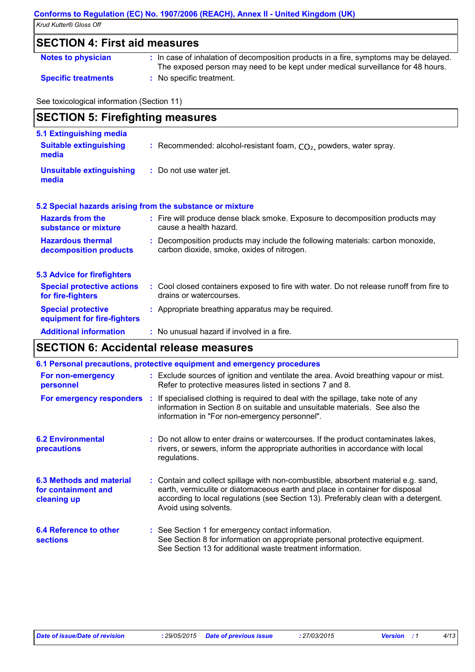### **Conforms to Regulation (EC) No. 1907/2006 (REACH), Annex II - United Kingdom (UK)**

*Krud Kutter® Gloss Off* 

### **SECTION 4: First aid measures**

| <b>Notes to physician</b> | : In case of inhalation of decomposition products in a fire, symptoms may be delayed. |  |
|---------------------------|---------------------------------------------------------------------------------------|--|
|                           |                                                                                       |  |

- 
- The exposed person may need to be kept under medical surveillance for 48 hours.
- **Specific treatments :** No specific treatment.

See toxicological information (Section 11)

| <b>SECTION 5: Firefighting measures</b>                           |                                                                                                                              |  |
|-------------------------------------------------------------------|------------------------------------------------------------------------------------------------------------------------------|--|
| 5.1 Extinguishing media<br><b>Suitable extinguishing</b><br>media | : Recommended: alcohol-resistant foam, $CO2$ , powders, water spray.                                                         |  |
| <b>Unsuitable extinguishing</b><br>media                          | : Do not use water jet.                                                                                                      |  |
|                                                                   | 5.2 Special hazards arising from the substance or mixture                                                                    |  |
| <b>Hazards from the</b><br>substance or mixture                   | : Fire will produce dense black smoke. Exposure to decomposition products may<br>cause a health hazard.                      |  |
| <b>Hazardous thermal</b><br>decomposition products                | : Decomposition products may include the following materials: carbon monoxide,<br>carbon dioxide, smoke, oxides of nitrogen. |  |
| <b>5.3 Advice for firefighters</b>                                |                                                                                                                              |  |
| <b>Special protective actions</b><br>for fire-fighters            | : Cool closed containers exposed to fire with water. Do not release runoff from fire to<br>drains or watercourses.           |  |
| <b>Special protective</b><br>equipment for fire-fighters          | : Appropriate breathing apparatus may be required.                                                                           |  |
| <b>Additional information</b>                                     | : No unusual hazard if involved in a fire.                                                                                   |  |

#### **SECTION 6: Accidental release measures**

|                                                                | 6.1 Personal precautions, protective equipment and emergency procedures                                                                                                                                                                                                            |
|----------------------------------------------------------------|------------------------------------------------------------------------------------------------------------------------------------------------------------------------------------------------------------------------------------------------------------------------------------|
| For non-emergency<br>personnel                                 | : Exclude sources of ignition and ventilate the area. Avoid breathing vapour or mist.<br>Refer to protective measures listed in sections 7 and 8.                                                                                                                                  |
|                                                                | <b>For emergency responders</b> : If specialised clothing is required to deal with the spillage, take note of any<br>information in Section 8 on suitable and unsuitable materials. See also the<br>information in "For non-emergency personnel".                                  |
| <b>6.2 Environmental</b><br><b>precautions</b>                 | : Do not allow to enter drains or watercourses. If the product contaminates lakes,<br>rivers, or sewers, inform the appropriate authorities in accordance with local<br>regulations.                                                                                               |
| 6.3 Methods and material<br>for containment and<br>cleaning up | : Contain and collect spillage with non-combustible, absorbent material e.g. sand,<br>earth, vermiculite or diatomaceous earth and place in container for disposal<br>according to local regulations (see Section 13). Preferably clean with a detergent.<br>Avoid using solvents. |
| 6.4 Reference to other<br><b>sections</b>                      | : See Section 1 for emergency contact information.<br>See Section 8 for information on appropriate personal protective equipment.<br>See Section 13 for additional waste treatment information.                                                                                    |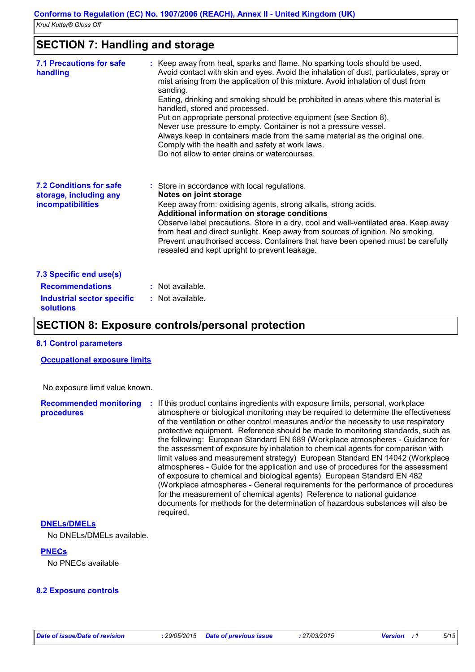### **SECTION 7: Handling and storage**

| <b>7.1 Precautions for safe</b><br>handling                                                                | : Keep away from heat, sparks and flame. No sparking tools should be used.<br>Avoid contact with skin and eyes. Avoid the inhalation of dust, particulates, spray or<br>mist arising from the application of this mixture. Avoid inhalation of dust from<br>sanding.<br>Eating, drinking and smoking should be prohibited in areas where this material is<br>handled, stored and processed.<br>Put on appropriate personal protective equipment (see Section 8).<br>Never use pressure to empty. Container is not a pressure vessel.<br>Always keep in containers made from the same material as the original one.<br>Comply with the health and safety at work laws.<br>Do not allow to enter drains or watercourses. |
|------------------------------------------------------------------------------------------------------------|------------------------------------------------------------------------------------------------------------------------------------------------------------------------------------------------------------------------------------------------------------------------------------------------------------------------------------------------------------------------------------------------------------------------------------------------------------------------------------------------------------------------------------------------------------------------------------------------------------------------------------------------------------------------------------------------------------------------|
| <b>7.2 Conditions for safe</b><br>storage, including any<br>incompatibilities                              | : Store in accordance with local regulations.<br>Notes on joint storage<br>Keep away from: oxidising agents, strong alkalis, strong acids.<br>Additional information on storage conditions<br>Observe label precautions. Store in a dry, cool and well-ventilated area. Keep away<br>from heat and direct sunlight. Keep away from sources of ignition. No smoking.<br>Prevent unauthorised access. Containers that have been opened must be carefully<br>resealed and kept upright to prevent leakage.                                                                                                                                                                                                                |
| 7.3 Specific end use(s)<br><b>Recommendations</b><br><b>Industrial sector specific</b><br><b>solutions</b> | : Not available.<br>: Not available.                                                                                                                                                                                                                                                                                                                                                                                                                                                                                                                                                                                                                                                                                   |

### **SECTION 8: Exposure controls/personal protection**

#### **8.1 Control parameters**

#### **Occupational exposure limits**

No exposure limit value known.

#### **Recommended monitoring : If this product contains ingredients with exposure limits, personal, workplace procedures** atmosphere or biological monitoring may be required to determine the effectiveness of the ventilation or other control measures and/or the necessity to use respiratory protective equipment. Reference should be made to monitoring standards, such as the following: European Standard EN 689 (Workplace atmospheres - Guidance for the assessment of exposure by inhalation to chemical agents for comparison with limit values and measurement strategy) European Standard EN 14042 (Workplace atmospheres - Guide for the application and use of procedures for the assessment of exposure to chemical and biological agents) European Standard EN 482 (Workplace atmospheres - General requirements for the performance of procedures for the measurement of chemical agents) Reference to national guidance documents for methods for the determination of hazardous substances will also be required.

#### **DNELs/DMELs**

No DNELs/DMELs available.

#### **PNECs**

No PNECs available

#### **8.2 Exposure controls**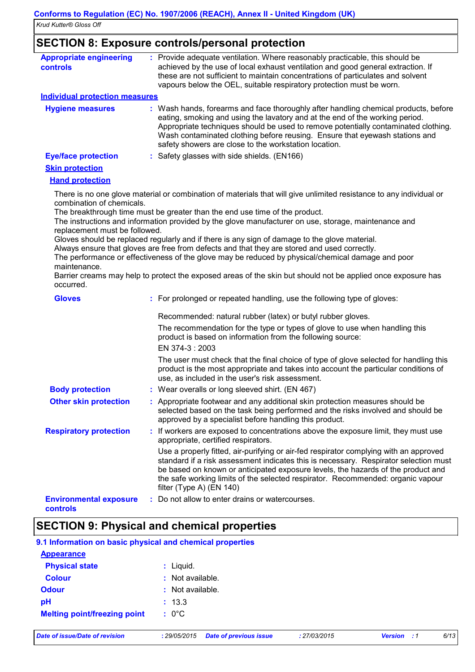### **SECTION 8: Exposure controls/personal protection**

| <b>Appropriate engineering</b><br><b>controls</b> | : Provide adequate ventilation. Where reasonably practicable, this should be<br>achieved by the use of local exhaust ventilation and good general extraction. If<br>these are not sufficient to maintain concentrations of particulates and solvent<br>vapours below the OEL, suitable respiratory protection must be worn.                                                                       |
|---------------------------------------------------|---------------------------------------------------------------------------------------------------------------------------------------------------------------------------------------------------------------------------------------------------------------------------------------------------------------------------------------------------------------------------------------------------|
| <b>Individual protection measures</b>             |                                                                                                                                                                                                                                                                                                                                                                                                   |
| <b>Hygiene measures</b>                           | : Wash hands, forearms and face thoroughly after handling chemical products, before<br>eating, smoking and using the lavatory and at the end of the working period.<br>Appropriate techniques should be used to remove potentially contaminated clothing.<br>Wash contaminated clothing before reusing. Ensure that eyewash stations and<br>safety showers are close to the workstation location. |
| <b>Eye/face protection</b>                        | : Safety glasses with side shields. (EN166)                                                                                                                                                                                                                                                                                                                                                       |
| <b>Skin protection</b>                            |                                                                                                                                                                                                                                                                                                                                                                                                   |
| <b>Hand protection</b>                            |                                                                                                                                                                                                                                                                                                                                                                                                   |
| combination of chemicals.                         | There is no one glove material or combination of materials that will give unlimited resistance to any individual or                                                                                                                                                                                                                                                                               |
|                                                   | The breakthrough time must be greater than the end use time of the product.                                                                                                                                                                                                                                                                                                                       |
|                                                   | The instructions and information provided by the glove manufacturer on use, storage, maintenance and                                                                                                                                                                                                                                                                                              |
| replacement must be followed.                     | Gloves should be replaced regularly and if there is any sign of damage to the glove material.                                                                                                                                                                                                                                                                                                     |
|                                                   | Always ensure that gloves are free from defects and that they are stored and used correctly.                                                                                                                                                                                                                                                                                                      |
|                                                   | The performance or effectiveness of the glove may be reduced by physical/chemical damage and poor                                                                                                                                                                                                                                                                                                 |
| maintenance.<br>occurred.                         | Barrier creams may help to protect the exposed areas of the skin but should not be applied once exposure has                                                                                                                                                                                                                                                                                      |
| <b>Gloves</b>                                     | : For prolonged or repeated handling, use the following type of gloves:                                                                                                                                                                                                                                                                                                                           |
|                                                   | Recommended: natural rubber (latex) or butyl rubber gloves.                                                                                                                                                                                                                                                                                                                                       |
|                                                   | The recommendation for the type or types of glove to use when handling this<br>product is based on information from the following source:<br>EN 374-3: 2003                                                                                                                                                                                                                                       |
|                                                   | The user must check that the final choice of type of glove selected for handling this<br>product is the most appropriate and takes into account the particular conditions of<br>use, as included in the user's risk assessment.                                                                                                                                                                   |
| <b>Body protection</b>                            | : Wear overalls or long sleeved shirt. (EN 467)                                                                                                                                                                                                                                                                                                                                                   |
| <b>Other skin protection</b>                      | : Appropriate footwear and any additional skin protection measures should be<br>selected based on the task being performed and the risks involved and should be<br>approved by a specialist before handling this product.                                                                                                                                                                         |
| <b>Respiratory protection</b>                     | If workers are exposed to concentrations above the exposure limit, they must use<br>appropriate, certified respirators.                                                                                                                                                                                                                                                                           |
|                                                   | Use a properly fitted, air-purifying or air-fed respirator complying with an approved<br>standard if a risk assessment indicates this is necessary. Respirator selection must<br>be based on known or anticipated exposure levels, the hazards of the product and<br>the safe working limits of the selected respirator. Recommended: organic vapour<br>filter (Type A) $(EN 140)$                |
| <b>Environmental exposure</b><br>controls         | Do not allow to enter drains or watercourses.                                                                                                                                                                                                                                                                                                                                                     |

### **SECTION 9: Physical and chemical properties**

| <b>Physical state</b><br><b>Colour</b> | : Liquid.<br>: Not available.                 |              |                         |      |
|----------------------------------------|-----------------------------------------------|--------------|-------------------------|------|
| <b>Odour</b>                           | : Not available.                              |              |                         |      |
| рH                                     | : 13.3                                        |              |                         |      |
| <b>Melting point/freezing point</b>    | $: 0^{\circ}$ C                               |              |                         |      |
| Date of issue/Date of revision         | <b>Date of previous issue</b><br>: 29/05/2015 | : 27/03/2015 | <b>Version</b><br>- : 1 | 6/13 |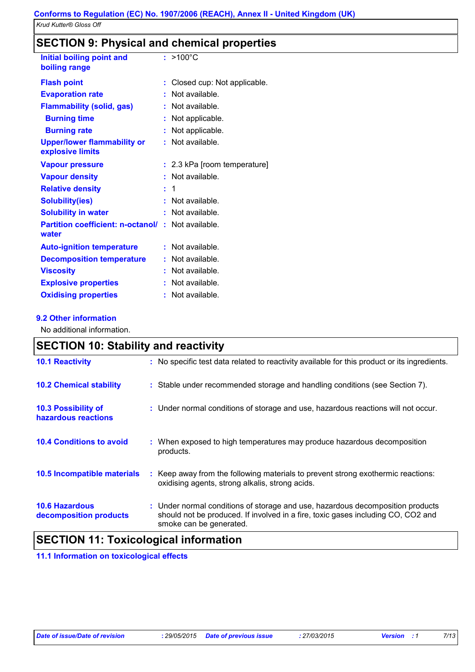### **SECTION 9: Physical and chemical properties**

| Initial boiling point and<br>boiling range                        |    | $: >100^{\circ}$ C           |
|-------------------------------------------------------------------|----|------------------------------|
| <b>Flash point</b>                                                | ÷  | Closed cup: Not applicable.  |
| <b>Evaporation rate</b>                                           |    | Not available.               |
| <b>Flammability (solid, gas)</b>                                  |    | : Not available.             |
| <b>Burning time</b>                                               |    | Not applicable.              |
| <b>Burning rate</b>                                               | t. | Not applicable.              |
| <b>Upper/lower flammability or</b><br>explosive limits            | t. | Not available.               |
| <b>Vapour pressure</b>                                            |    | : 2.3 kPa [room temperature] |
| <b>Vapour density</b>                                             |    | Not available.               |
| <b>Relative density</b>                                           |    | : 1                          |
| <b>Solubility(ies)</b>                                            | ÷  | Not available.               |
| <b>Solubility in water</b>                                        | t. | Not available.               |
| <b>Partition coefficient: n-octanol/: Not available.</b><br>water |    |                              |
| <b>Auto-ignition temperature</b>                                  |    | : Not available.             |
| <b>Decomposition temperature</b>                                  |    | : Not available.             |
| <b>Viscosity</b>                                                  |    | Not available.               |
| <b>Explosive properties</b>                                       | ÷  | Not available.               |
| <b>Oxidising properties</b>                                       |    | Not available.               |

#### **9.2 Other information**

No additional information.

| <b>SECTION 10: Stability and reactivity</b>       |                                                                                                                                                                                               |
|---------------------------------------------------|-----------------------------------------------------------------------------------------------------------------------------------------------------------------------------------------------|
| <b>10.1 Reactivity</b>                            | : No specific test data related to reactivity available for this product or its ingredients.                                                                                                  |
| <b>10.2 Chemical stability</b>                    | : Stable under recommended storage and handling conditions (see Section 7).                                                                                                                   |
| <b>10.3 Possibility of</b><br>hazardous reactions | : Under normal conditions of storage and use, hazardous reactions will not occur.                                                                                                             |
| <b>10.4 Conditions to avoid</b>                   | : When exposed to high temperatures may produce hazardous decomposition<br>products.                                                                                                          |
| <b>10.5 Incompatible materials</b>                | : Keep away from the following materials to prevent strong exothermic reactions:<br>oxidising agents, strong alkalis, strong acids.                                                           |
| <b>10.6 Hazardous</b><br>decomposition products   | : Under normal conditions of storage and use, hazardous decomposition products<br>should not be produced. If involved in a fire, toxic gases including CO, CO2 and<br>smoke can be generated. |

### **SECTION 11: Toxicological information**

**11.1 Information on toxicological effects**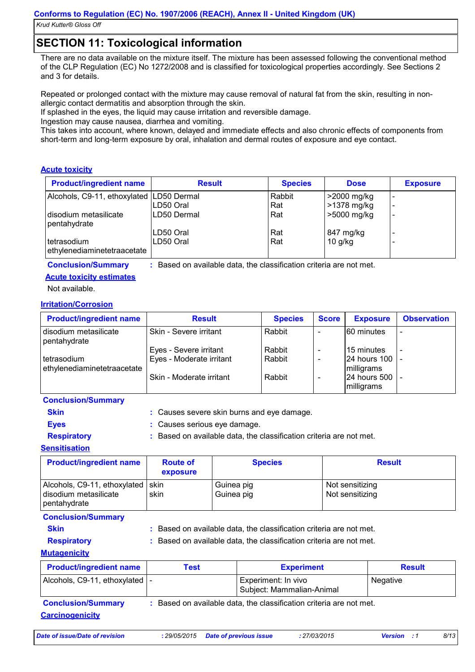### **SECTION 11: Toxicological information**

There are no data available on the mixture itself. The mixture has been assessed following the conventional method of the CLP Regulation (EC) No 1272/2008 and is classified for toxicological properties accordingly. See Sections 2 and 3 for details.

Repeated or prolonged contact with the mixture may cause removal of natural fat from the skin, resulting in nonallergic contact dermatitis and absorption through the skin.

If splashed in the eyes, the liquid may cause irritation and reversible damage.

Ingestion may cause nausea, diarrhea and vomiting.

This takes into account, where known, delayed and immediate effects and also chronic effects of components from short-term and long-term exposure by oral, inhalation and dermal routes of exposure and eye contact.

#### **Acute toxicity**

| <b>Product/ingredient name</b>               | <b>Result</b> | <b>Species</b> | <b>Dose</b> | <b>Exposure</b> |
|----------------------------------------------|---------------|----------------|-------------|-----------------|
| Alcohols, C9-11, ethoxylated LD50 Dermal     |               | Rabbit         | >2000 mg/kg |                 |
|                                              | ILD50 Oral    | Rat            | >1378 mg/kg |                 |
| I disodium metasilicate<br>pentahydrate      | ILD50 Dermal  | Rat            | >5000 mg/kg |                 |
|                                              | LD50 Oral     | Rat            | 847 mg/kg   |                 |
| I tetrasodium<br>ethylenediaminetetraacetate | LD50 Oral     | Rat            | $10$ g/kg   |                 |

**Conclusion/Summary :** Based on available data, the classification criteria are not met.

#### **Acute toxicity estimates**

Not available.

#### **Irritation/Corrosion**

| <b>Product/ingredient name</b>               | <b>Result</b>            | <b>Species</b> | <b>Score</b> | <b>Exposure</b>               | <b>Observation</b>       |
|----------------------------------------------|--------------------------|----------------|--------------|-------------------------------|--------------------------|
| disodium metasilicate<br>pentahydrate        | Skin - Severe irritant   | Rabbit         |              | 60 minutes                    |                          |
|                                              | Eyes - Severe irritant   | Rabbit         |              | 15 minutes                    | $\overline{\phantom{a}}$ |
| l tetrasodium<br>ethylenediaminetetraacetate | Eyes - Moderate irritant | Rabbit         |              | 24 hours 100  -<br>milligrams |                          |
|                                              | Skin - Moderate irritant | Rabbit         |              | 24 hours 500 -<br>milligrams  |                          |

#### **Conclusion/Summary**

**Skin :** Causes severe skin burns and eye damage.

**Eyes :** Causes serious eye damage.

**Respiratory <b>:** Based on available data, the classification criteria are not met.

#### **Sensitisation**

| <b>Product/ingredient name</b>                                               | <b>Route of</b><br>exposure | <b>Species</b>           | <b>Result</b>                      |
|------------------------------------------------------------------------------|-----------------------------|--------------------------|------------------------------------|
| Alcohols, C9-11, ethoxylated   skin<br>disodium metasilicate<br>pentahydrate | skin                        | Guinea pig<br>Guinea pig | Not sensitizing<br>Not sensitizing |
| $\sim$ $\sim$ $\sim$ $\sim$                                                  |                             |                          |                                    |

#### **Conclusion/Summary**

**Skin Example 2018 :** Based on available data, the classification criteria are not met.

**Respiratory <b>:** Based on available data, the classification criteria are not met.

### **Mutagenicity**

| <b>Product/ingredient name</b>   | Test | <b>Experiment</b>                                | <b>Result</b> |
|----------------------------------|------|--------------------------------------------------|---------------|
| Alcohols, C9-11, ethoxylated   - |      | Experiment: In vivo<br>Subject: Mammalian-Animal | Negative      |

**Carcinogenicity Conclusion/Summary :** Based on available data, the classification criteria are not met.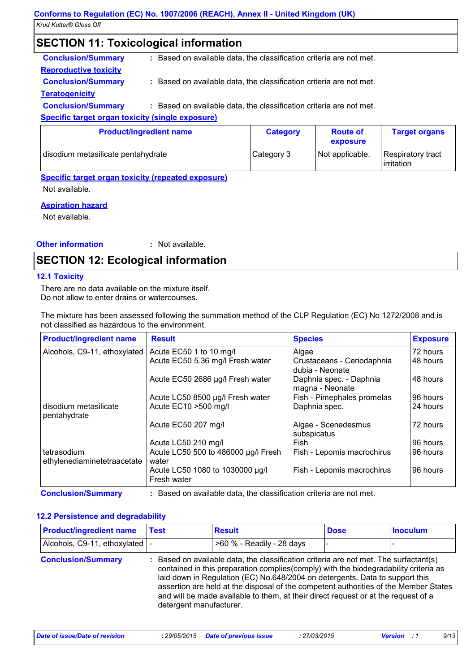### **SECTION 11: Toxicological information**

| <b>Conclusion/Summary</b>    | : Based on available data, the classification criteria are not met. |
|------------------------------|---------------------------------------------------------------------|
| <b>Reproductive toxicity</b> |                                                                     |
| <b>Conclusion/Summary</b>    | : Based on available data, the classification criteria are not met. |
| <b>Teratogenicity</b>        |                                                                     |
| <b>Conclusion/Summary</b>    | : Based on available data, the classification criteria are not met. |

#### **Specific target organ toxicity (single exposure)**

| <b>Product/ingredient name</b>     | <b>Category</b> | <b>Route of</b><br>exposure | <b>Target organs</b>            |
|------------------------------------|-----------------|-----------------------------|---------------------------------|
| disodium metasilicate pentahydrate | Category 3      | Not applicable.             | Respiratory tract<br>irritation |

#### **Specific target organ toxicity (repeated exposure)**

Not available.

#### **Aspiration hazard**

Not available.

#### **Other information :** : Not available.

### **SECTION 12: Ecological information**

#### **12.1 Toxicity**

There are no data available on the mixture itself. Do not allow to enter drains or watercourses.

The mixture has been assessed following the summation method of the CLP Regulation (EC) No 1272/2008 and is not classified as hazardous to the environment.

| <b>Product/ingredient name</b>             | <b>Result</b>                                  | <b>Species</b>                                | <b>Exposure</b> |
|--------------------------------------------|------------------------------------------------|-----------------------------------------------|-----------------|
| Alcohols, C9-11, ethoxylated               | Acute EC50 1 to 10 mg/l                        | Algae                                         | 72 hours        |
|                                            | Acute EC50 5.36 mg/l Fresh water               | Crustaceans - Ceriodaphnia<br>dubia - Neonate | 48 hours        |
|                                            | Acute EC50 2686 µg/l Fresh water               | Daphnia spec. - Daphnia<br>magna - Neonate    | 48 hours        |
|                                            | Acute LC50 8500 µg/l Fresh water               | Fish - Pimephales promelas                    | 96 hours        |
| disodium metasilicate<br>pentahydrate      | Acute EC10 > 500 mg/l                          | Daphnia spec.                                 | 24 hours        |
|                                            | Acute EC50 207 mg/l                            | Algae - Scenedesmus<br>subspicatus            | 72 hours        |
|                                            | Acute LC50 210 mg/l                            | Fish                                          | 96 hours        |
| tetrasodium<br>ethylenediaminetetraacetate | Acute LC50 500 to 486000 µg/l Fresh<br>water   | Fish - Lepomis macrochirus                    | 96 hours        |
|                                            | Acute LC50 1080 to 1030000 µg/l<br>Fresh water | Fish - Lepomis macrochirus                    | 96 hours        |

**Conclusion/Summary :** Based on available data, the classification criteria are not met.

#### **12.2 Persistence and degradability**

| <b>Product/ingredient name</b> | Test                    | <b>Result</b>                                                                                                                                                                                                                                                                                                                                                                                                                             | <b>Dose</b> | <b>Inoculum</b> |
|--------------------------------|-------------------------|-------------------------------------------------------------------------------------------------------------------------------------------------------------------------------------------------------------------------------------------------------------------------------------------------------------------------------------------------------------------------------------------------------------------------------------------|-------------|-----------------|
| Alcohols, C9-11, ethoxylated   |                         | >60 % - Readily - 28 days                                                                                                                                                                                                                                                                                                                                                                                                                 |             |                 |
| <b>Conclusion/Summary</b>      | detergent manufacturer. | Based on available data, the classification criteria are not met. The surfactant(s)<br>contained in this preparation complies(comply) with the biodegradability criteria as<br>laid down in Regulation (EC) No.648/2004 on detergents. Data to support this<br>assertion are held at the disposal of the competent authorities of the Member States<br>and will be made available to them, at their direct request or at the request of a |             |                 |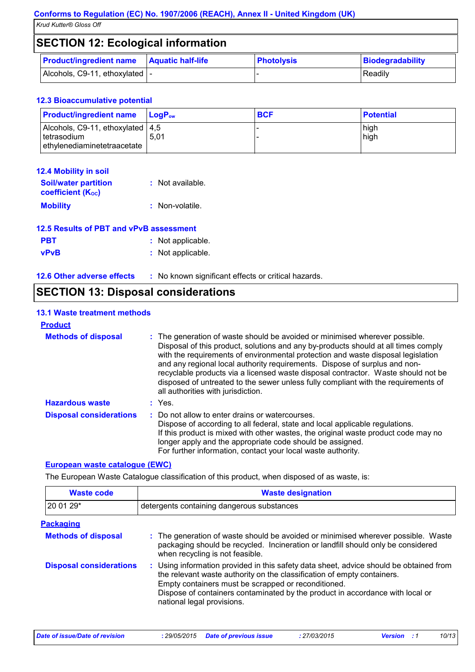### **SECTION 12: Ecological information**

| <b>Product/ingredient name</b>  | <b>Aquatic half-life</b> | <b>Photolysis</b> | Biodegradability |
|---------------------------------|--------------------------|-------------------|------------------|
| Alcohols, C9-11, ethoxylated  - |                          |                   | Readily          |

#### **12.3 Bioaccumulative potential**

| <b>Product/ingredient name</b>                                                    | <b>LogP</b> ‱ | <b>BCF</b> | <b>Potential</b> |
|-----------------------------------------------------------------------------------|---------------|------------|------------------|
| Alcohols, C9-11, ethoxylated   4,5<br>Itetrasodium<br>ethylenediaminetetraacetate | 5.01          |            | high<br>high     |

| <b>12.4 Mobility in soil</b>                            |                  |
|---------------------------------------------------------|------------------|
| <b>Soil/water partition</b><br><b>coefficient (Koc)</b> | : Not available. |
| <b>Mobility</b>                                         | : Non-volatile.  |

| 12.5 Results of PBT and vPvB assessment |                   |  |
|-----------------------------------------|-------------------|--|
| <b>PBT</b>                              | : Not applicable. |  |
| <b>vPvB</b>                             | : Not applicable. |  |

| <b>12.6 Other adverse effects</b> | No known significant effects or critical hazards. |
|-----------------------------------|---------------------------------------------------|
|-----------------------------------|---------------------------------------------------|

| <b>SECTION 13: Disposal considerations</b> |
|--------------------------------------------|

### **13.1 Waste treatment methods**

| <b>Product</b>                 |                                                                                                                                                                                                                                                                                                                                                                                                                                                                                                                                                      |
|--------------------------------|------------------------------------------------------------------------------------------------------------------------------------------------------------------------------------------------------------------------------------------------------------------------------------------------------------------------------------------------------------------------------------------------------------------------------------------------------------------------------------------------------------------------------------------------------|
| <b>Methods of disposal</b>     | : The generation of waste should be avoided or minimised wherever possible.<br>Disposal of this product, solutions and any by-products should at all times comply<br>with the requirements of environmental protection and waste disposal legislation<br>and any regional local authority requirements. Dispose of surplus and non-<br>recyclable products via a licensed waste disposal contractor. Waste should not be<br>disposed of untreated to the sewer unless fully compliant with the requirements of<br>all authorities with jurisdiction. |
| <b>Hazardous waste</b>         | $:$ Yes.                                                                                                                                                                                                                                                                                                                                                                                                                                                                                                                                             |
| <b>Disposal considerations</b> | Do not allow to enter drains or watercourses.<br>Dispose of according to all federal, state and local applicable regulations.<br>If this product is mixed with other wastes, the original waste product code may no<br>longer apply and the appropriate code should be assigned.<br>For further information, contact your local waste authority.                                                                                                                                                                                                     |

#### **European waste catalogue (EWC)**

The European Waste Catalogue classification of this product, when disposed of as waste, is:

| <b>Waste code</b>              | <b>Waste designation</b>                                                                                                                                                                                                                                                                                                                |  |  |
|--------------------------------|-----------------------------------------------------------------------------------------------------------------------------------------------------------------------------------------------------------------------------------------------------------------------------------------------------------------------------------------|--|--|
| 20 01 29*                      | detergents containing dangerous substances                                                                                                                                                                                                                                                                                              |  |  |
| <b>Packaging</b>               |                                                                                                                                                                                                                                                                                                                                         |  |  |
| <b>Methods of disposal</b>     | : The generation of waste should be avoided or minimised wherever possible. Waste<br>packaging should be recycled. Incineration or landfill should only be considered<br>when recycling is not feasible.                                                                                                                                |  |  |
| <b>Disposal considerations</b> | : Using information provided in this safety data sheet, advice should be obtained from<br>the relevant waste authority on the classification of empty containers.<br>Empty containers must be scrapped or reconditioned.<br>Dispose of containers contaminated by the product in accordance with local or<br>national legal provisions. |  |  |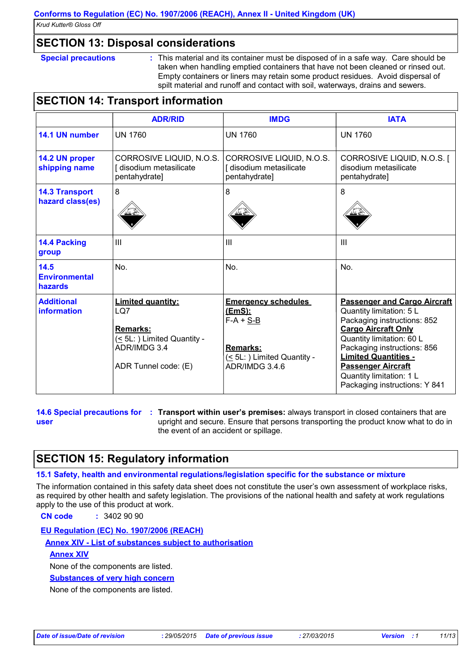### **SECTION 13: Disposal considerations**

**Special precautions :** This material and its container must be disposed of in a safe way. Care should be taken when handling emptied containers that have not been cleaned or rinsed out. Empty containers or liners may retain some product residues. Avoid dispersal of spilt material and runoff and contact with soil, waterways, drains and sewers.

### **SECTION 14: Transport information**

|                                           | <b>ADR/RID</b>                                                                                                            | <b>IMDG</b>                                                                                                             | <b>IATA</b>                                                                                                                                                                                                                                                                                                       |
|-------------------------------------------|---------------------------------------------------------------------------------------------------------------------------|-------------------------------------------------------------------------------------------------------------------------|-------------------------------------------------------------------------------------------------------------------------------------------------------------------------------------------------------------------------------------------------------------------------------------------------------------------|
| 14.1 UN number                            | <b>UN 1760</b>                                                                                                            | <b>UN 1760</b>                                                                                                          | <b>UN 1760</b>                                                                                                                                                                                                                                                                                                    |
| 14.2 UN proper<br>shipping name           | CORROSIVE LIQUID, N.O.S.<br>[ disodium metasilicate<br>pentahydrate]                                                      | CORROSIVE LIQUID, N.O.S.<br>[ disodium metasilicate<br>pentahydrate]                                                    | CORROSIVE LIQUID, N.O.S. [<br>disodium metasilicate<br>pentahydrate]                                                                                                                                                                                                                                              |
| <b>14.3 Transport</b><br>hazard class(es) | 8                                                                                                                         | 8                                                                                                                       | 8                                                                                                                                                                                                                                                                                                                 |
| <b>14.4 Packing</b><br>group              | III                                                                                                                       | $\mathbf{III}$                                                                                                          | $\mathbf{III}$                                                                                                                                                                                                                                                                                                    |
| 14.5<br><b>Environmental</b><br>hazards   | No.                                                                                                                       | No.                                                                                                                     | No.                                                                                                                                                                                                                                                                                                               |
| <b>Additional</b><br>information          | <b>Limited quantity:</b><br>LQ7<br><b>Remarks:</b><br>(≤ 5L: ) Limited Quantity -<br>ADR/IMDG 3.4<br>ADR Tunnel code: (E) | <b>Emergency schedules</b><br>(EmS):<br>$F-A + S-B$<br><b>Remarks:</b><br>(≤ 5L: ) Limited Quantity -<br>ADR/IMDG 3.4.6 | <b>Passenger and Cargo Aircraft</b><br>Quantity limitation: 5 L<br>Packaging instructions: 852<br><b>Cargo Aircraft Only</b><br>Quantity limitation: 60 L<br>Packaging instructions: 856<br><b>Limited Quantities -</b><br><b>Passenger Aircraft</b><br>Quantity limitation: 1 L<br>Packaging instructions: Y 841 |

**14.6 Special precautions for user**

**Transport within user's premises:** always transport in closed containers that are **:** upright and secure. Ensure that persons transporting the product know what to do in the event of an accident or spillage.

### **SECTION 15: Regulatory information**

#### **15.1 Safety, health and environmental regulations/legislation specific for the substance or mixture**

The information contained in this safety data sheet does not constitute the user's own assessment of workplace risks, as required by other health and safety legislation. The provisions of the national health and safety at work regulations apply to the use of this product at work.

**CN code :** 3402 90 90

#### **EU Regulation (EC) No. 1907/2006 (REACH)**

**Annex XIV - List of substances subject to authorisation**

#### **Annex XIV**

None of the components are listed.

**Substances of very high concern**

None of the components are listed.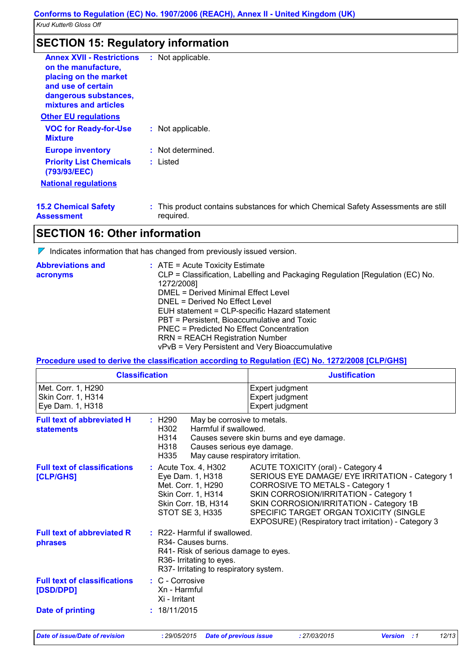### **SECTION 15: Regulatory information**

| <b>Annex XVII - Restrictions</b><br>on the manufacture,<br>placing on the market<br>and use of certain<br>dangerous substances,<br>mixtures and articles | : Not applicable.                                                                               |
|----------------------------------------------------------------------------------------------------------------------------------------------------------|-------------------------------------------------------------------------------------------------|
| <b>Other EU regulations</b>                                                                                                                              |                                                                                                 |
| <b>VOC for Ready-for-Use</b><br><b>Mixture</b>                                                                                                           | : Not applicable.                                                                               |
| <b>Europe inventory</b>                                                                                                                                  | : Not determined.                                                                               |
| <b>Priority List Chemicals</b><br>(793/93/EEC)                                                                                                           | : Listed                                                                                        |
| <b>National regulations</b>                                                                                                                              |                                                                                                 |
| <b>15.2 Chemical Safety</b><br><b>Assessment</b>                                                                                                         | : This product contains substances for which Chemical Safety Assessments are still<br>required. |

### **SECTION 16: Other information**

 $\nabla$  Indicates information that has changed from previously issued version.

| <b>Abbreviations and</b><br>acronyms | $\therefore$ ATE = Acute Toxicity Estimate<br>CLP = Classification, Labelling and Packaging Regulation [Regulation (EC) No.<br>1272/2008]<br>DMEL = Derived Minimal Effect Level<br>DNEL = Derived No Effect Level<br>EUH statement = CLP-specific Hazard statement<br>PBT = Persistent, Bioaccumulative and Toxic<br>PNEC = Predicted No Effect Concentration |
|--------------------------------------|----------------------------------------------------------------------------------------------------------------------------------------------------------------------------------------------------------------------------------------------------------------------------------------------------------------------------------------------------------------|
|                                      | <b>RRN = REACH Registration Number</b>                                                                                                                                                                                                                                                                                                                         |
|                                      | vPvB = Very Persistent and Very Bioaccumulative                                                                                                                                                                                                                                                                                                                |

#### **Procedure used to derive the classification according to Regulation (EC) No. 1272/2008 [CLP/GHS]**

|                                                              | <b>Classification</b>                                                                                                                                             | <b>Justification</b>                                                                                                                                                                                                                                                                                              |  |
|--------------------------------------------------------------|-------------------------------------------------------------------------------------------------------------------------------------------------------------------|-------------------------------------------------------------------------------------------------------------------------------------------------------------------------------------------------------------------------------------------------------------------------------------------------------------------|--|
| Met. Corr. 1, H290<br>Skin Corr. 1, H314<br>Eye Dam. 1, H318 |                                                                                                                                                                   | Expert judgment<br>Expert judgment<br>Expert judgment                                                                                                                                                                                                                                                             |  |
| <b>Full text of abbreviated H</b><br><b>statements</b>       | May be corrosive to metals.<br>: H290<br>Harmful if swallowed.<br>H302<br>H314<br>H318<br>Causes serious eye damage.<br>H335<br>May cause respiratory irritation. | Causes severe skin burns and eye damage.                                                                                                                                                                                                                                                                          |  |
| <b>Full text of classifications</b><br>[CLP/GHS]             | $:$ Acute Tox. 4, H302<br>Eye Dam. 1, H318<br>Met. Corr. 1, H290<br>Skin Corr. 1, H314<br>Skin Corr. 1B, H314<br>STOT SE 3, H335                                  | ACUTE TOXICITY (oral) - Category 4<br>SERIOUS EYE DAMAGE/ EYE IRRITATION - Category 1<br>CORROSIVE TO METALS - Category 1<br>SKIN CORROSION/IRRITATION - Category 1<br>SKIN CORROSION/IRRITATION - Category 1B<br>SPECIFIC TARGET ORGAN TOXICITY (SINGLE<br>EXPOSURE) (Respiratory tract irritation) - Category 3 |  |
| <b>Full text of abbreviated R</b><br>phrases                 | : R22- Harmful if swallowed.<br>R34- Causes burns.<br>R41- Risk of serious damage to eyes.<br>R36- Irritating to eyes.<br>R37- Irritating to respiratory system.  |                                                                                                                                                                                                                                                                                                                   |  |
| <b>Full text of classifications</b><br>[DSD/DPD]             | : C - Corrosive<br>Xn - Harmful<br>Xi - Irritant                                                                                                                  |                                                                                                                                                                                                                                                                                                                   |  |
| <b>Date of printing</b>                                      | : 18/11/2015                                                                                                                                                      |                                                                                                                                                                                                                                                                                                                   |  |
| <b>Date of issue/Date of revision</b>                        | : 29/05/2015<br><b>Date of previous issue</b>                                                                                                                     | 12/13<br>: 27/03/2015<br><b>Version</b> : 1                                                                                                                                                                                                                                                                       |  |